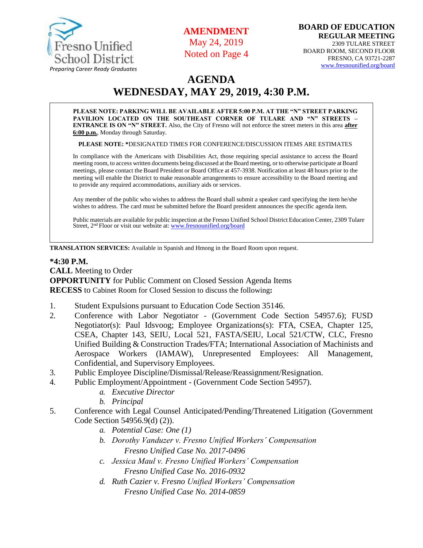

**AMENDMENT** May 24, 2019 Noted on Page 4

# **AGENDA WEDNESDAY, MAY 29, 2019, 4:30 P.M.**

**PLEASE NOTE: PARKING WILL BE AVAILABLE AFTER 5:00 P.M. AT THE "N" STREET PARKING PAVILION LOCATED ON THE SOUTHEAST CORNER OF TULARE AND "N" STREETS – ENTRANCE IS ON "N" STREET.** Also, the City of Fresno will not enforce the street meters in this area **after 6:00 p.m.**, Monday through Saturday.

**PLEASE NOTE: \***DESIGNATED TIMES FOR CONFERENCE/DISCUSSION ITEMS ARE ESTIMATES

In compliance with the Americans with Disabilities Act, those requiring special assistance to access the Board meeting room, to access written documents being discussed at the Board meeting, or to otherwise participate at Board meetings, please contact the Board President or Board Office at 457-3938. Notification at least 48 hours prior to the meeting will enable the District to make reasonable arrangements to ensure accessibility to the Board meeting and to provide any required accommodations, auxiliary aids or services.

Any member of the public who wishes to address the Board shall submit a speaker card specifying the item he/she wishes to address. The card must be submitted before the Board president announces the specific agenda item.

Public materials are available for public inspection at the Fresno Unified School District Education Center, 2309 Tulare Street, 2<sup>nd</sup> Floor or visit our website at: [www.fresnounified.org/board](http://www.fresnounified.org/board)

**TRANSLATION SERVICES:** Available in Spanish and Hmong in the Board Room upon request.

#### **\*4:30 P.M.**

**CALL** Meeting to Order **OPPORTUNITY** for Public Comment on Closed Session Agenda Items **RECESS** to Cabinet Room for Closed Session to discuss the following**:**

- 1. Student Expulsions pursuant to Education Code Section 35146.
- 2. Conference with Labor Negotiator (Government Code Section 54957.6); FUSD Negotiator(s): Paul Idsvoog; Employee Organizations(s): FTA, CSEA, Chapter 125, CSEA, Chapter 143, SEIU, Local 521, FASTA/SEIU, Local 521/CTW, CLC, Fresno Unified Building & Construction Trades/FTA; International Association of Machinists and Aerospace Workers (IAMAW), Unrepresented Employees: All Management, Confidential, and Supervisory Employees.
- 3. Public Employee Discipline/Dismissal/Release/Reassignment/Resignation.
- 4. Public Employment/Appointment (Government Code Section 54957).
	- *a. Executive Director*
	- *b. Principal*
- 5. Conference with Legal Counsel Anticipated/Pending/Threatened Litigation (Government Code Section 54956.9(d) (2)).
	- *a. Potential Case: One (1)*
	- *b. Dorothy Vanduzer v. Fresno Unified Workers' Compensation Fresno Unified Case No. 2017-0496*
	- *c. Jessica Maul v. Fresno Unified Workers' Compensation Fresno Unified Case No. 2016-0932*
	- *d. Ruth Cazier v. Fresno Unified Workers' Compensation Fresno Unified Case No. 2014-0859*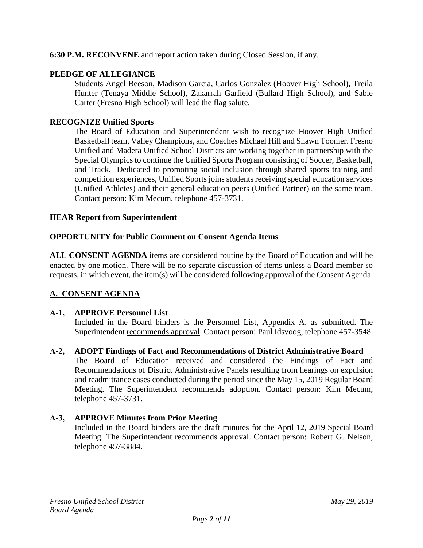# **6:30 P.M. RECONVENE** and report action taken during Closed Session, if any.

# **PLEDGE OF ALLEGIANCE**

Students Angel Beeson, Madison Garcia, Carlos Gonzalez (Hoover High School), Treila Hunter (Tenaya Middle School), Zakarrah Garfield (Bullard High School), and Sable Carter (Fresno High School) will lead the flag salute.

### **RECOGNIZE Unified Sports**

The Board of Education and Superintendent wish to recognize Hoover High Unified Basketball team, Valley Champions, and Coaches Michael Hill and Shawn Toomer. Fresno Unified and Madera Unified School Districts are working together in partnership with the Special Olympics to continue the Unified Sports Program consisting of Soccer, Basketball, and Track. Dedicated to promoting social inclusion through shared sports training and competition experiences, Unified Sports joins students receiving special education services (Unified Athletes) and their general education peers (Unified Partner) on the same team. Contact person: Kim Mecum, telephone 457-3731.

#### **HEAR Report from Superintendent**

# **OPPORTUNITY for Public Comment on Consent Agenda Items**

**ALL CONSENT AGENDA** items are considered routine by the Board of Education and will be enacted by one motion. There will be no separate discussion of items unless a Board member so requests, in which event, the item(s) will be considered following approval of the Consent Agenda.

# **A. CONSENT AGENDA**

#### **A-1, APPROVE Personnel List**

Included in the Board binders is the Personnel List, Appendix A, as submitted. The Superintendent recommends approval. Contact person: Paul Idsvoog, telephone 457-3548.

#### **A-2, ADOPT Findings of Fact and Recommendations of District Administrative Board**

The Board of Education received and considered the Findings of Fact and Recommendations of District Administrative Panels resulting from hearings on expulsion and readmittance cases conducted during the period since the May 15, 2019 Regular Board Meeting. The Superintendent recommends adoption. Contact person: Kim Mecum, telephone 457-3731.

#### **A-3, APPROVE Minutes from Prior Meeting**

Included in the Board binders are the draft minutes for the April 12, 2019 Special Board Meeting. The Superintendent recommends approval. Contact person: Robert G. Nelson, telephone 457-3884.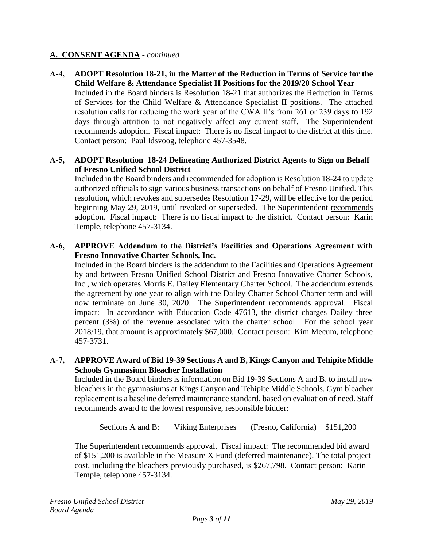**A-4, ADOPT Resolution 18-21, in the Matter of the Reduction in Terms of Service for the Child Welfare & Attendance Specialist II Positions for the 2019/20 School Year** Included in the Board binders is Resolution 18-21 that authorizes the Reduction in Terms of Services for the Child Welfare & Attendance Specialist II positions. The attached resolution calls for reducing the work year of the CWA II's from 261 or 239 days to 192 days through attrition to not negatively affect any current staff. The Superintendent recommends adoption. Fiscal impact: There is no fiscal impact to the district at this time. Contact person: Paul Idsvoog, telephone 457-3548.

# **A-5, ADOPT Resolution 18-24 Delineating Authorized District Agents to Sign on Behalf of Fresno Unified School District**

Included in the Board binders and recommended for adoption is Resolution 18-24 to update authorized officials to sign various business transactions on behalf of Fresno Unified. This resolution, which revokes and supersedes Resolution 17-29, will be effective for the period beginning May 29, 2019, until revoked or superseded. The Superintendent recommends adoption. Fiscal impact: There is no fiscal impact to the district. Contact person: Karin Temple, telephone 457-3134.

# **A-6, APPROVE Addendum to the District's Facilities and Operations Agreement with Fresno Innovative Charter Schools, Inc.**

Included in the Board binders is the addendum to the Facilities and Operations Agreement by and between Fresno Unified School District and Fresno Innovative Charter Schools, Inc., which operates Morris E. Dailey Elementary Charter School. The addendum extends the agreement by one year to align with the Dailey Charter School Charter term and will now terminate on June 30, 2020. The Superintendent recommends approval. Fiscal impact: In accordance with Education Code 47613, the district charges Dailey three percent (3%) of the revenue associated with the charter school. For the school year 2018/19, that amount is approximately \$67,000. Contact person: Kim Mecum, telephone 457-3731.

#### **A-7, APPROVE Award of Bid 19-39 Sections A and B, Kings Canyon and Tehipite Middle Schools Gymnasium Bleacher Installation**

Included in the Board binders is information on Bid 19-39 Sections A and B, to install new bleachers in the gymnasiums at Kings Canyon and Tehipite Middle Schools. Gym bleacher replacement is a baseline deferred maintenance standard, based on evaluation of need. Staff recommends award to the lowest responsive, responsible bidder:

Sections A and B: Viking Enterprises (Fresno, California) \$151,200

The Superintendent recommends approval. Fiscal impact: The recommended bid award of \$151,200 is available in the Measure X Fund (deferred maintenance). The total project cost, including the bleachers previously purchased, is \$267,798. Contact person: Karin Temple, telephone 457-3134.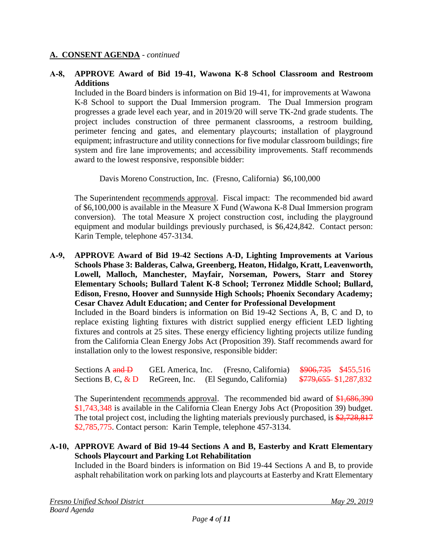#### **A-8, APPROVE Award of Bid 19-41, Wawona K-8 School Classroom and Restroom Additions**

Included in the Board binders is information on Bid 19-41, for improvements at Wawona K-8 School to support the Dual Immersion program. The Dual Immersion program progresses a grade level each year, and in 2019/20 will serve TK-2nd grade students. The project includes construction of three permanent classrooms, a restroom building, perimeter fencing and gates, and elementary playcourts; installation of playground equipment; infrastructure and utility connections for five modular classroom buildings; fire system and fire lane improvements; and accessibility improvements. Staff recommends award to the lowest responsive, responsible bidder:

Davis Moreno Construction, Inc. (Fresno, California) \$6,100,000

The Superintendent recommends approval. Fiscal impact: The recommended bid award of \$6,100,000 is available in the Measure X Fund (Wawona K-8 Dual Immersion program conversion). The total Measure X project construction cost, including the playground equipment and modular buildings previously purchased, is \$6,424,842. Contact person: Karin Temple, telephone 457-3134.

**A-9, APPROVE Award of Bid 19-42 Sections A-D, Lighting Improvements at Various Schools Phase 3: Balderas, Calwa, Greenberg, Heaton, Hidalgo, Kratt, Leavenworth, Lowell, Malloch, Manchester, Mayfair, Norseman, Powers, Starr and Storey Elementary Schools; Bullard Talent K-8 School; Terronez Middle School; Bullard, Edison, Fresno, Hoover and Sunnyside High Schools; Phoenix Secondary Academy; Cesar Chavez Adult Education; and Center for Professional Development**

Included in the Board binders is information on Bid 19-42 Sections A, B, C and D, to replace existing lighting fixtures with district supplied energy efficient LED lighting fixtures and controls at 25 sites. These energy efficiency lighting projects utilize funding from the California Clean Energy Jobs Act (Proposition 39). Staff recommends award for installation only to the lowest responsive, responsible bidder:

Sections A and D GEL America, Inc. (Fresno, California)  $\frac{\$906,735}{\$455,516}$ Sections B, C,  $\&$  D ReGreen, Inc. (El Segundo, California)  $\frac{$779,655}{1287,832}$ 

The Superintendent recommends approval. The recommended bid award of \$1,686,390 \$1,743,348 is available in the California Clean Energy Jobs Act (Proposition 39) budget. The total project cost, including the lighting materials previously purchased, is \$2,728,817 \$2,785,775. Contact person: Karin Temple, telephone 457-3134.

#### **A-10, APPROVE Award of Bid 19-44 Sections A and B, Easterby and Kratt Elementary Schools Playcourt and Parking Lot Rehabilitation**

Included in the Board binders is information on Bid 19-44 Sections A and B, to provide asphalt rehabilitation work on parking lots and playcourts at Easterby and Kratt Elementary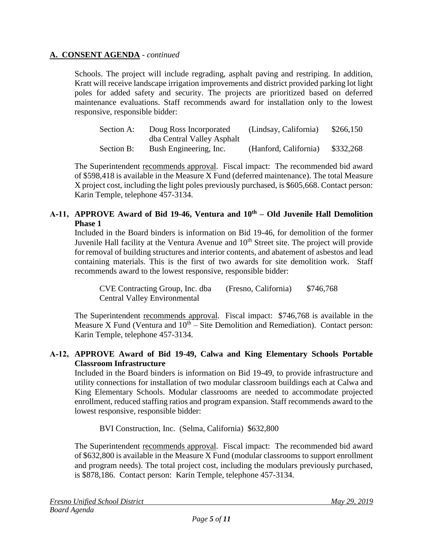Schools. The project will include regrading, asphalt paving and restriping. In addition, Kratt will receive landscape irrigation improvements and district provided parking lot light poles for added safety and security. The projects are prioritized based on deferred maintenance evaluations. Staff recommends award for installation only to the lowest responsive, responsible bidder:

| Section A: | Doug Ross Incorporated     | (Lindsay, California) | \$266,150 |
|------------|----------------------------|-----------------------|-----------|
|            | dba Central Valley Asphalt |                       |           |
| Section B: | Bush Engineering, Inc.     | (Hanford, California) | \$332,268 |

The Superintendent recommends approval. Fiscal impact: The recommended bid award of \$598,418 is available in the Measure X Fund (deferred maintenance). The total Measure X project cost, including the light poles previously purchased, is \$605,668. Contact person: Karin Temple, telephone 457-3134.

#### **A-11, APPROVE Award of Bid 19-46, Ventura and 10th – Old Juvenile Hall Demolition Phase 1**

Included in the Board binders is information on Bid 19-46, for demolition of the former Juvenile Hall facility at the Ventura Avenue and  $10<sup>th</sup>$  Street site. The project will provide for removal of building structures and interior contents, and abatement of asbestos and lead containing materials. This is the first of two awards for site demolition work. Staff recommends award to the lowest responsive, responsible bidder:

CVE Contracting Group, Inc. dba (Fresno, California) \$746,768 Central Valley Environmental

The Superintendent recommends approval. Fiscal impact: \$746,768 is available in the Measure X Fund (Ventura and  $10<sup>th</sup> - Site Demolition and Remediation)$ . Contact person: Karin Temple, telephone 457-3134.

# **A-12, APPROVE Award of Bid 19-49, Calwa and King Elementary Schools Portable Classroom Infrastructure**

Included in the Board binders is information on Bid 19-49, to provide infrastructure and utility connections for installation of two modular classroom buildings each at Calwa and King Elementary Schools. Modular classrooms are needed to accommodate projected enrollment, reduced staffing ratios and program expansion. Staff recommends award to the lowest responsive, responsible bidder:

BVI Construction, Inc. (Selma, California) \$632,800

The Superintendent recommends approval. Fiscal impact: The recommended bid award of \$632,800 is available in the Measure X Fund (modular classrooms to support enrollment and program needs). The total project cost, including the modulars previously purchased, is \$878,186. Contact person: Karin Temple, telephone 457-3134.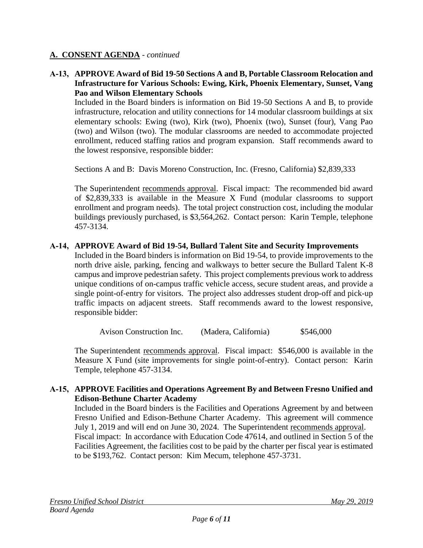# **A-13, APPROVE Award of Bid 19-50 Sections A and B, Portable Classroom Relocation and Infrastructure for Various Schools: Ewing, Kirk, Phoenix Elementary, Sunset, Vang Pao and Wilson Elementary Schools**

Included in the Board binders is information on Bid 19-50 Sections A and B, to provide infrastructure, relocation and utility connections for 14 modular classroom buildings at six elementary schools: Ewing (two), Kirk (two), Phoenix (two), Sunset (four), Vang Pao (two) and Wilson (two). The modular classrooms are needed to accommodate projected enrollment, reduced staffing ratios and program expansion. Staff recommends award to the lowest responsive, responsible bidder:

Sections A and B: Davis Moreno Construction, Inc. (Fresno, California) \$2,839,333

The Superintendent recommends approval. Fiscal impact: The recommended bid award of \$2,839,333 is available in the Measure X Fund (modular classrooms to support enrollment and program needs). The total project construction cost, including the modular buildings previously purchased, is \$3,564,262. Contact person: Karin Temple, telephone 457-3134.

#### **A-14, APPROVE Award of Bid 19-54, Bullard Talent Site and Security Improvements**

Included in the Board binders is information on Bid 19-54, to provide improvements to the north drive aisle, parking, fencing and walkways to better secure the Bullard Talent K-8 campus and improve pedestrian safety. This project complements previous work to address unique conditions of on-campus traffic vehicle access, secure student areas, and provide a single point-of-entry for visitors. The project also addresses student drop-off and pick-up traffic impacts on adjacent streets. Staff recommends award to the lowest responsive, responsible bidder:

Avison Construction Inc. (Madera, California) \$546,000

The Superintendent recommends approval. Fiscal impact: \$546,000 is available in the Measure X Fund (site improvements for single point-of-entry). Contact person: Karin Temple, telephone 457-3134.

#### **A-15, APPROVE Facilities and Operations Agreement By and Between Fresno Unified and Edison-Bethune Charter Academy**

Included in the Board binders is the Facilities and Operations Agreement by and between Fresno Unified and Edison-Bethune Charter Academy. This agreement will commence July 1, 2019 and will end on June 30, 2024. The Superintendent recommends approval. Fiscal impact: In accordance with Education Code 47614, and outlined in Section 5 of the Facilities Agreement, the facilities cost to be paid by the charter per fiscal year is estimated to be \$193,762. Contact person: Kim Mecum, telephone 457-3731.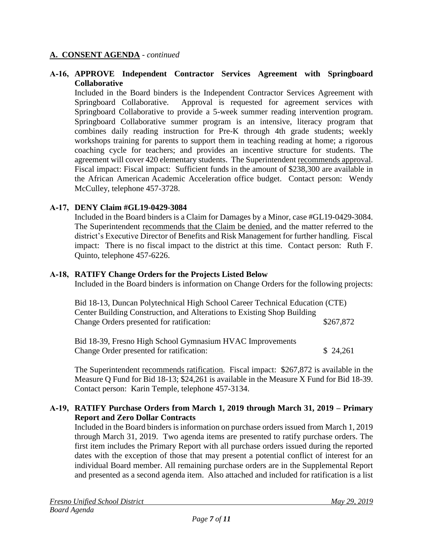#### **A-16, APPROVE Independent Contractor Services Agreement with Springboard Collaborative**

Included in the Board binders is the Independent Contractor Services Agreement with Springboard Collaborative. Approval is requested for agreement services with Springboard Collaborative to provide a 5-week summer reading intervention program. Springboard Collaborative summer program is an intensive, literacy program that combines daily reading instruction for Pre-K through 4th grade students; weekly workshops training for parents to support them in teaching reading at home; a rigorous coaching cycle for teachers; and provides an incentive structure for students. The agreement will cover 420 elementary students. The Superintendent recommends approval. Fiscal impact: Fiscal impact: Sufficient funds in the amount of \$238,300 are available in the African American Academic Acceleration office budget. Contact person: Wendy McCulley, telephone 457-3728.

#### **A-17, DENY Claim #GL19-0429-3084**

Included in the Board binders is a Claim for Damages by a Minor, case #GL19-0429-3084. The Superintendent recommends that the Claim be denied, and the matter referred to the district's Executive Director of Benefits and Risk Management for further handling. Fiscal impact: There is no fiscal impact to the district at this time. Contact person: Ruth F. Quinto, telephone 457-6226.

#### **A-18, RATIFY Change Orders for the Projects Listed Below**

Included in the Board binders is information on Change Orders for the following projects:

| Bid 18-13, Duncan Polytechnical High School Career Technical Education (CTE) |           |  |  |
|------------------------------------------------------------------------------|-----------|--|--|
| Center Building Construction, and Alterations to Existing Shop Building      |           |  |  |
| Change Orders presented for ratification:                                    | \$267,872 |  |  |

Bid 18-39, Fresno High School Gymnasium HVAC Improvements Change Order presented for ratification: \$ 24,261

The Superintendent recommends ratification. Fiscal impact: \$267,872 is available in the Measure Q Fund for Bid 18-13; \$24,261 is available in the Measure X Fund for Bid 18-39. Contact person: Karin Temple, telephone 457-3134.

#### **A-19, RATIFY Purchase Orders from March 1, 2019 through March 31, 2019 – Primary Report and Zero Dollar Contracts**

Included in the Board binders is information on purchase orders issued from March 1, 2019 through March 31, 2019. Two agenda items are presented to ratify purchase orders. The first item includes the Primary Report with all purchase orders issued during the reported dates with the exception of those that may present a potential conflict of interest for an individual Board member. All remaining purchase orders are in the Supplemental Report and presented as a second agenda item. Also attached and included for ratification is a list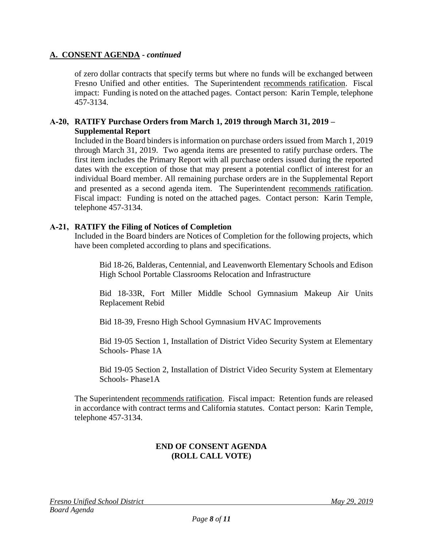of zero dollar contracts that specify terms but where no funds will be exchanged between Fresno Unified and other entities. The Superintendent recommends ratification. Fiscal impact: Funding is noted on the attached pages. Contact person: Karin Temple, telephone 457-3134.

#### **A-20, RATIFY Purchase Orders from March 1, 2019 through March 31, 2019 – Supplemental Report**

Included in the Board binders is information on purchase orders issued from March 1, 2019 through March 31, 2019. Two agenda items are presented to ratify purchase orders. The first item includes the Primary Report with all purchase orders issued during the reported dates with the exception of those that may present a potential conflict of interest for an individual Board member. All remaining purchase orders are in the Supplemental Report and presented as a second agenda item. The Superintendent recommends ratification. Fiscal impact: Funding is noted on the attached pages. Contact person: Karin Temple, telephone 457-3134.

# **A-21, RATIFY the Filing of Notices of Completion**

Included in the Board binders are Notices of Completion for the following projects, which have been completed according to plans and specifications.

Bid 18-26, Balderas, Centennial, and Leavenworth Elementary Schools and Edison High School Portable Classrooms Relocation and Infrastructure

Bid 18-33R, Fort Miller Middle School Gymnasium Makeup Air Units Replacement Rebid

Bid 18-39, Fresno High School Gymnasium HVAC Improvements

Bid 19-05 Section 1, Installation of District Video Security System at Elementary Schools- Phase 1A

Bid 19-05 Section 2, Installation of District Video Security System at Elementary Schools- Phase1A

The Superintendent recommends ratification. Fiscal impact: Retention funds are released in accordance with contract terms and California statutes. Contact person: Karin Temple, telephone 457-3134.

# **END OF CONSENT AGENDA (ROLL CALL VOTE)**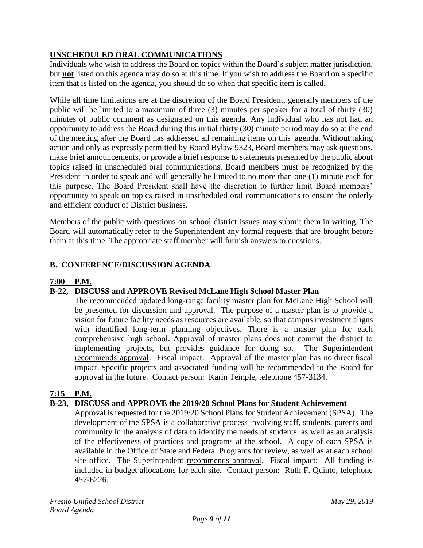# **UNSCHEDULED ORAL COMMUNICATIONS**

Individuals who wish to address the Board on topics within the Board's subject matter jurisdiction, but **not** listed on this agenda may do so at this time. If you wish to address the Board on a specific item that is listed on the agenda, you should do so when that specific item is called.

While all time limitations are at the discretion of the Board President, generally members of the public will be limited to a maximum of three (3) minutes per speaker for a total of thirty (30) minutes of public comment as designated on this agenda. Any individual who has not had an opportunity to address the Board during this initial thirty (30) minute period may do so at the end of the meeting after the Board has addressed all remaining items on this agenda. Without taking action and only as expressly permitted by Board Bylaw 9323, Board members may ask questions, make brief announcements, or provide a brief response to statements presented by the public about topics raised in unscheduled oral communications. Board members must be recognized by the President in order to speak and will generally be limited to no more than one (1) minute each for this purpose. The Board President shall have the discretion to further limit Board members' opportunity to speak on topics raised in unscheduled oral communications to ensure the orderly and efficient conduct of District business.

Members of the public with questions on school district issues may submit them in writing. The Board will automatically refer to the Superintendent any formal requests that are brought before them at this time. The appropriate staff member will furnish answers to questions.

# **B. CONFERENCE/DISCUSSION AGENDA**

# **7:00 P.M.**

# **B-22, DISCUSS and APPROVE Revised McLane High School Master Plan**

The recommended updated long-range facility master plan for McLane High School will be presented for discussion and approval. The purpose of a master plan is to provide a vision for future facility needs as resources are available, so that campus investment aligns with identified long-term planning objectives. There is a master plan for each comprehensive high school. Approval of master plans does not commit the district to implementing projects, but provides guidance for doing so. The Superintendent recommends approval. Fiscal impact: Approval of the master plan has no direct fiscal impact. Specific projects and associated funding will be recommended to the Board for approval in the future. Contact person: Karin Temple, telephone 457-3134.

# **7:15 P.M.**

# **B-23, DISCUSS and APPROVE the 2019/20 School Plans for Student Achievement**

Approval is requested for the 2019/20 School Plans for Student Achievement (SPSA).The development of the SPSA is a collaborative process involving staff, students, parents and community in the analysis of data to identify the needs of students, as well as an analysis of the effectiveness of practices and programs at the school. A copy of each SPSA is available in the Office of State and Federal Programs for review, as well as at each school site office. The Superintendent recommends approval. Fiscal impact: All funding is included in budget allocations for each site. Contact person: Ruth F. Quinto, telephone 457-6226.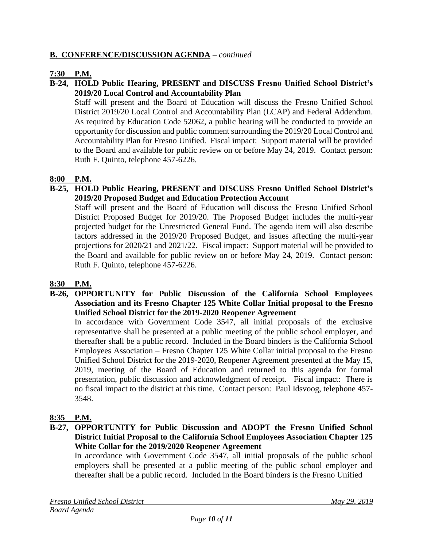# **B. CONFERENCE/DISCUSSION AGENDA** – *continued*

# **7:30 P.M.**

#### **B-24, HOLD Public Hearing, PRESENT and DISCUSS Fresno Unified School District's 2019/20 Local Control and Accountability Plan**

Staff will present and the Board of Education will discuss the Fresno Unified School District 2019/20 Local Control and Accountability Plan (LCAP) and Federal Addendum. As required by Education Code 52062, a public hearing will be conducted to provide an opportunity for discussion and public comment surrounding the 2019/20 Local Control and Accountability Plan for Fresno Unified. Fiscal impact: Support material will be provided to the Board and available for public review on or before May 24, 2019. Contact person: Ruth F. Quinto, telephone 457-6226.

#### **8:00 P.M.**

#### **B-25, HOLD Public Hearing, PRESENT and DISCUSS Fresno Unified School District's 2019/20 Proposed Budget and Education Protection Account**

Staff will present and the Board of Education will discuss the Fresno Unified School District Proposed Budget for 2019/20. The Proposed Budget includes the multi-year projected budget for the Unrestricted General Fund. The agenda item will also describe factors addressed in the 2019/20 Proposed Budget, and issues affecting the multi-year projections for 2020/21 and 2021/22. Fiscal impact: Support material will be provided to the Board and available for public review on or before May 24, 2019. Contact person: Ruth F. Quinto, telephone 457-6226.

#### **8:30 P.M.**

#### **B-26, OPPORTUNITY for Public Discussion of the California School Employees Association and its Fresno Chapter 125 White Collar Initial proposal to the Fresno Unified School District for the 2019-2020 Reopener Agreement**

In accordance with Government Code 3547, all initial proposals of the exclusive representative shall be presented at a public meeting of the public school employer, and thereafter shall be a public record. Included in the Board binders is the California School Employees Association – Fresno Chapter 125 White Collar initial proposal to the Fresno Unified School District for the 2019-2020, Reopener Agreement presented at the May 15, 2019, meeting of the Board of Education and returned to this agenda for formal presentation, public discussion and acknowledgment of receipt. Fiscal impact: There is no fiscal impact to the district at this time. Contact person: Paul Idsvoog, telephone 457- 3548.

#### **8:35 P.M.**

#### **B-27, OPPORTUNITY for Public Discussion and ADOPT the Fresno Unified School District Initial Proposal to the California School Employees Association Chapter 125 White Collar for the 2019/2020 Reopener Agreement**

In accordance with Government Code 3547, all initial proposals of the public school employers shall be presented at a public meeting of the public school employer and thereafter shall be a public record. Included in the Board binders is the Fresno Unified